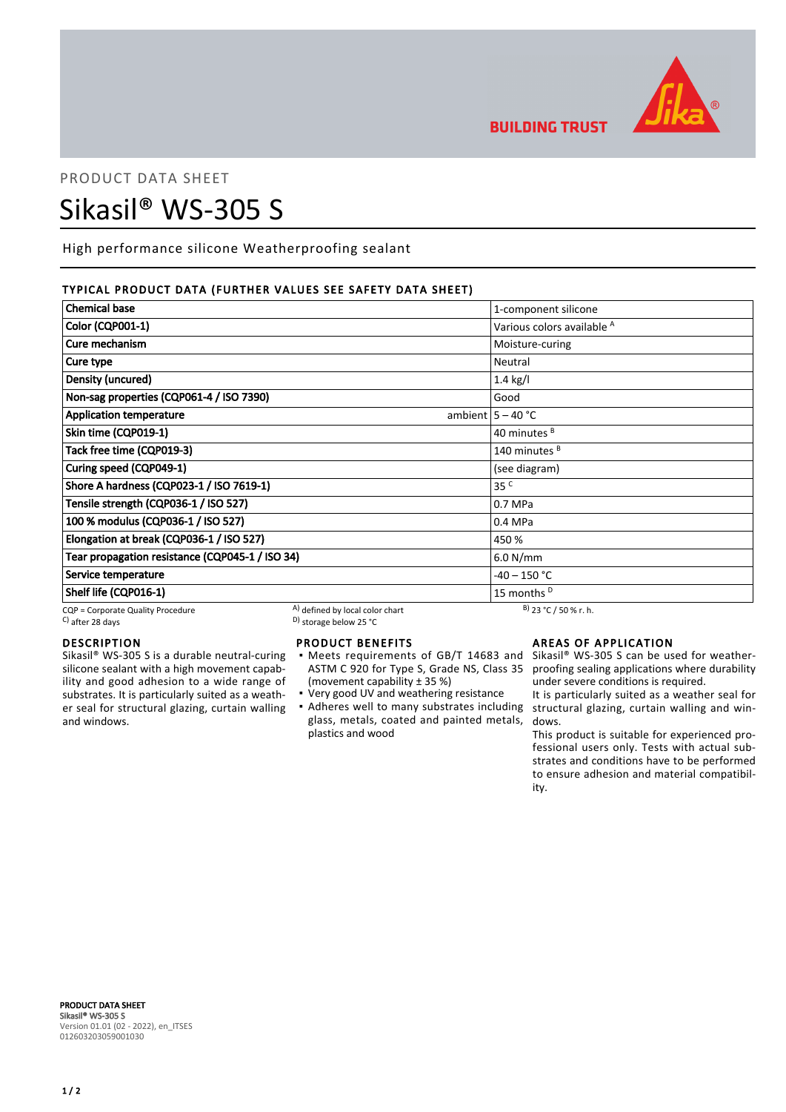

**BUILDING TRUST** 

# PRODUCT DATA SHEET Sikasil® WS-305 S

High performance silicone Weatherproofing sealant

# TYPICAL PRODUCT DATA (FURTHER VALUES SEE SAFETY DATA SHEET)

| <b>Chemical base</b>                            |                                 | 1-component silicone                  |
|-------------------------------------------------|---------------------------------|---------------------------------------|
| <b>Color (CQP001-1)</b>                         |                                 | Various colors available <sup>A</sup> |
| Cure mechanism                                  |                                 | Moisture-curing                       |
| Cure type                                       |                                 | Neutral                               |
| Density (uncured)                               |                                 | $1.4$ kg/l                            |
| Non-sag properties (CQP061-4 / ISO 7390)        |                                 | Good                                  |
| <b>Application temperature</b>                  |                                 | ambient $5 - 40$ °C                   |
| Skin time (CQP019-1)                            |                                 | 40 minutes <sup>B</sup>               |
| Tack free time (CQP019-3)                       |                                 | 140 minutes <sup>B</sup>              |
| Curing speed (CQP049-1)                         |                                 | (see diagram)                         |
| Shore A hardness (CQP023-1 / ISO 7619-1)        |                                 | 35 <sup>C</sup>                       |
| Tensile strength (CQP036-1 / ISO 527)           |                                 | 0.7 MPa                               |
| 100 % modulus (CQP036-1 / ISO 527)              |                                 | 0.4 MPa                               |
| Elongation at break (CQP036-1 / ISO 527)        |                                 | 450 %                                 |
| Tear propagation resistance (CQP045-1 / ISO 34) |                                 | 6.0 N/mm                              |
| Service temperature                             |                                 | -40 – 150 °C                          |
| Shelf life (CQP016-1)                           |                                 | 15 months <sup>D</sup>                |
| CQP = Corporate Quality Procedure               | A) defined by local color chart | $B)$ 23 °C / 50 % r. h.               |

 $\sim$  D) storage below 25 °C

# DESCRIPTION

Sikasil® WS-305 S is a durable neutral-curing silicone sealant with a high movement capability and good adhesion to a wide range of substrates. It is particularly suited as a weather seal for structural glazing, curtain walling and windows.

# PRODUCT BENEFITS

- Meets requirements of GB/T 14683 and Sikasil® WS-305 S can be used for weather-ASTM C 920 for Type S, Grade NS, Class 35 (movement capability ± 35 %) ▪
- Very good UV and weathering resistance
- Adheres well to many substrates including structural glazing, curtain walling and winglass, metals, coated and painted metals, plastics and wood

# AREAS OF APPLICATION

proofing sealing applications where durability under severe conditions is required.

It is particularly suited as a weather seal for dows.

This product is suitable for experienced professional users only. Tests with actual substrates and conditions have to be performed to ensure adhesion and material compatibility.

PRODUCT DATA SHEET Sikasil® WS-305 S Version 01.01 (02 - 2022), en\_ITSES 012603203059001030